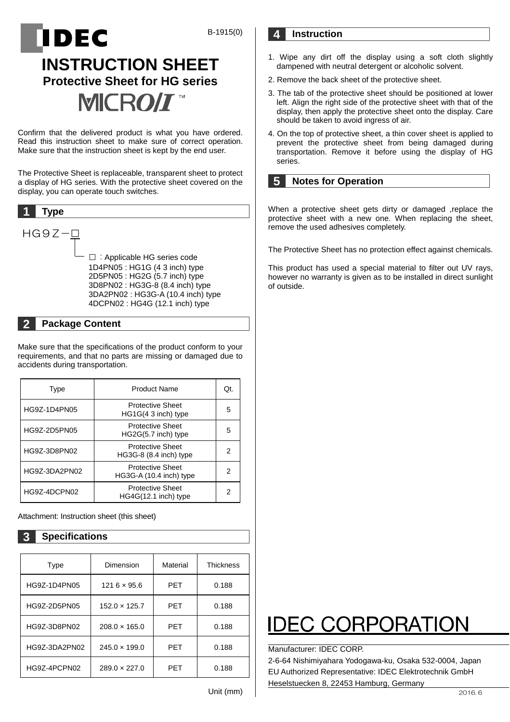



Confirm that the delivered product is what you have ordered. Read this instruction sheet to make sure of correct operation. Make sure that the instruction sheet is kept by the end user.

The Protective Sheet is replaceable, transparent sheet to protect a display of HG series. With the protective sheet covered on the display, you can operate touch switches.

## **1 Type**

HG9Z-□

□ : Applicable HG series code 1D4PN05 : HG1G (4 3 inch) type 2D5PN05 : HG2G (5.7 inch) type 3D8PN02 : HG3G-8 (8.4 inch) type 3DA2PN02 : HG3G-A (10.4 inch) type 4DCPN02 : HG4G (12.1 inch) type

# **2 Package Content**

Make sure that the specifications of the product conform to your requirements, and that no parts are missing or damaged due to accidents during transportation.

| Type                                                            | <b>Product Name</b>                                | Qt. |
|-----------------------------------------------------------------|----------------------------------------------------|-----|
| HG9Z-1D4PN05                                                    | <b>Protective Sheet</b><br>HG1G(4 3 inch) type     | 5   |
| HG9Z-2D5PN05                                                    | <b>Protective Sheet</b><br>HG2G(5.7 inch) type     | 5   |
| HG9Z-3D8PN02                                                    | <b>Protective Sheet</b><br>HG3G-8 (8.4 inch) type  | 2   |
| HG9Z-3DA2PN02                                                   | <b>Protective Sheet</b><br>HG3G-A (10.4 inch) type | 2   |
| <b>Protective Sheet</b><br>HG9Z-4DCPN02<br>HG4G(12.1 inch) type |                                                    | 2   |

Attachment: Instruction sheet (this sheet)

## **3 Specifications**

| Type          | Dimension            | Material   | <b>Thickness</b> |
|---------------|----------------------|------------|------------------|
| HG9Z-1D4PN05  | $1216 \times 95.6$   | PET        | 0.188            |
| HG9Z-2D5PN05  | 152.0 × 125.7        | <b>PET</b> | 0.188            |
| HG9Z-3D8PN02  | 208.0 × 165.0        | <b>PET</b> | 0.188            |
| HG9Z-3DA2PN02 | $245.0 \times 199.0$ | <b>PET</b> | 0.188            |
| HG9Z-4PCPN02  | $289.0 \times 227.0$ | PET        | 0.188            |

#### **4 Instruction**

- 1. Wipe any dirt off the display using a soft cloth slightly dampened with neutral detergent or alcoholic solvent.
- 2. Remove the back sheet of the protective sheet.
- 3. The tab of the protective sheet should be positioned at lower left. Align the right side of the protective sheet with that of the display, then apply the protective sheet onto the display. Care should be taken to avoid ingress of air.
- 4. On the top of protective sheet, a thin cover sheet is applied to prevent the protective sheet from being damaged during transportation. Remove it before using the display of HG series.

## **5 Notes for Operation**

When a protective sheet gets dirty or damaged , replace the protective sheet with a new one. When replacing the sheet, remove the used adhesives completely.

The Protective Sheet has no protection effect against chemicals.

This product has used a special material to filter out UV rays, however no warranty is given as to be installed in direct sunlight of outside.

# **IDEC CORPORATI**

#### Manufacturer: IDEC CORP.

2-6-64 Nishimiyahara Yodogawa-ku, Osaka 532-0004, Japan EU Authorized Representative: IDEC Elektrotechnik GmbH Heselstuecken 8, 22453 Hamburg, Germany